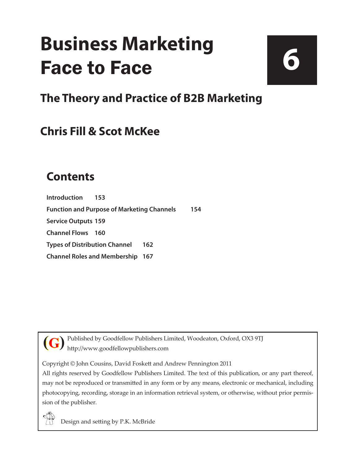## **Business Marketing** Face to Face

**6**

**The Theory and Practice of B2B Marketing**

## **Chris Fill & Scot McKee**

## **Contents**

**[Introduction](#page--1-0) 153 [Function and Purpose of Marketing Channels](#page--1-0) 154 [Service Outputs](#page--1-0) 159 [Channel Flows](#page--1-0) 160 [Types of Distribution Channel](#page--1-0) 162 [Channel Roles and Membership](#page--1-0) 167**

Published by Goodfellow Publishers Limited, Woodeaton, Oxford, OX3 9TJ http://www.goodfellowpublishers.com **(G)**

Copyright © John Cousins, David Foskett and Andrew Pennington 2011

All rights reserved by Goodfellow Publishers Limited. The text of this publication, or any part thereof, may not be reproduced or transmitted in any form or by any means, electronic or mechanical, including photocopying, recording, storage in an information retrieval system, or otherwise, without prior permission of the publisher.



Design and setting by P.K. McBride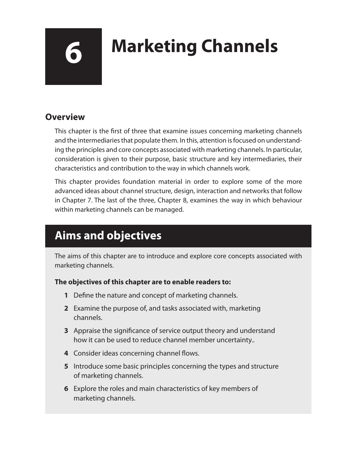# **6 Marketing Channels**

### **Overview**

This chapter is the first of three that examine issues concerning marketing channels and the intermediaries that populate them. In this, attention is focused on understanding the principles and core concepts associated with marketing channels. In particular, consideration is given to their purpose, basic structure and key intermediaries, their characteristics and contribution to the way in which channels work.

This chapter provides foundation material in order to explore some of the more advanced ideas about channel structure, design, interaction and networks that follow in Chapter 7. The last of the three, Chapter 8, examines the way in which behaviour within marketing channels can be managed.

## **Aims and objectives**

The aims of this chapter are to introduce and explore core concepts associated with marketing channels.

#### **The objectives of this chapter are to enable readers to:**

- **1** Define the nature and concept of marketing channels.
- **2** Examine the purpose of, and tasks associated with, marketing channels.
- **3** Appraise the significance of service output theory and understand how it can be used to reduce channel member uncertainty..
- **4** Consider ideas concerning channel flows.
- **5** Introduce some basic principles concerning the types and structure of marketing channels.
- **6** Explore the roles and main characteristics of key members of marketing channels.